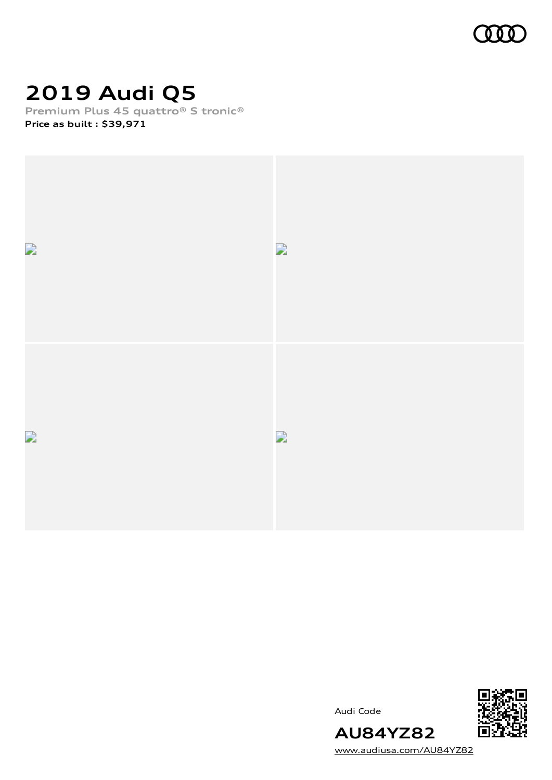

# **2019 Audi Q5**

**Premium Plus 45 quattro® S tronic® Price as built [:](#page-10-0) \$39,971**





**AU84YZ82**



[www.audiusa.com/AU84YZ82](https://www.audiusa.com/AU84YZ82)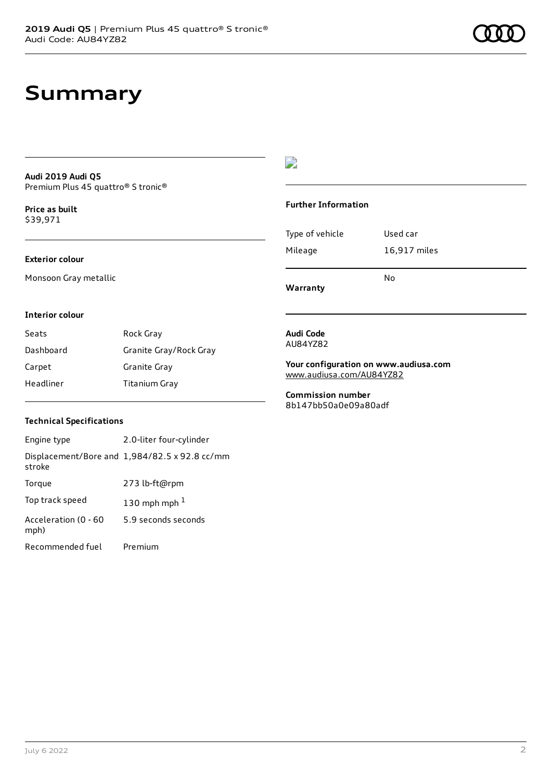### **Summary**

### **Audi 2019 Audi Q5** Premium Plus 45 quattro® S tronic®

**Price as buil[t](#page-10-0)** \$39,971

### **Exterior colour**

Monsoon Gray metallic

### $\overline{\phantom{a}}$

### **Further Information**

|                 | N٥           |
|-----------------|--------------|
| Mileage         | 16,917 miles |
| Type of vehicle | Used car     |

**Warranty**

#### **Interior colour**

| Seats     | Rock Gray              |
|-----------|------------------------|
| Dashboard | Granite Gray/Rock Gray |
| Carpet    | Granite Gray           |
| Headliner | Titanium Gray          |

#### **Audi Code** AU84YZ82

**Your configuration on www.audiusa.com** [www.audiusa.com/AU84YZ82](https://www.audiusa.com/AU84YZ82)

**Commission number** 8b147bb50a0e09a80adf

### **Technical Specifications**

| Engine type                  | 2.0-liter four-cylinder                       |
|------------------------------|-----------------------------------------------|
| stroke                       | Displacement/Bore and 1,984/82.5 x 92.8 cc/mm |
| Torque                       | 273 lb-ft@rpm                                 |
| Top track speed              | 130 mph mph $1$                               |
| Acceleration (0 - 60<br>mph) | 5.9 seconds seconds                           |
| Recommended fuel             | Premium                                       |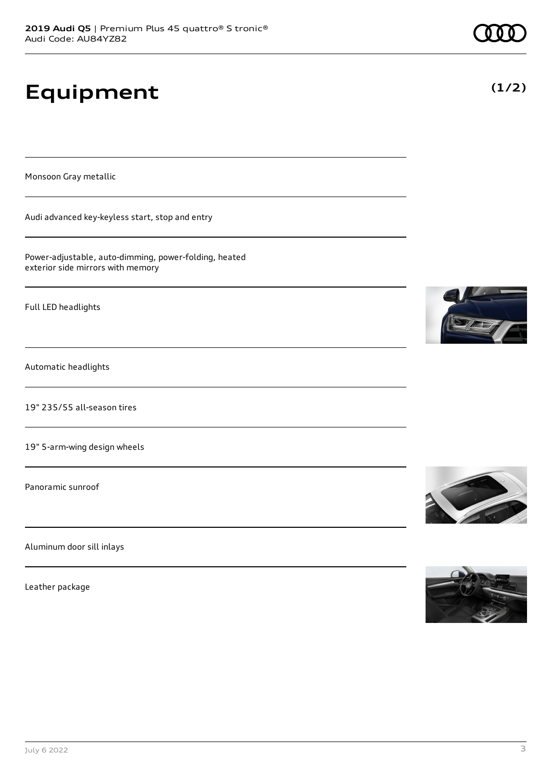# **Equipment**

Monsoon Gray metallic

Audi advanced key-keyless start, stop and entry

Power-adjustable, auto-dimming, power-folding, heated exterior side mirrors with memory

Full LED headlights

Automatic headlights

19" 235/55 all-season tires

19" 5-arm-wing design wheels

Panoramic sunroof

Aluminum door sill inlays

Leather package









**(1/2)**

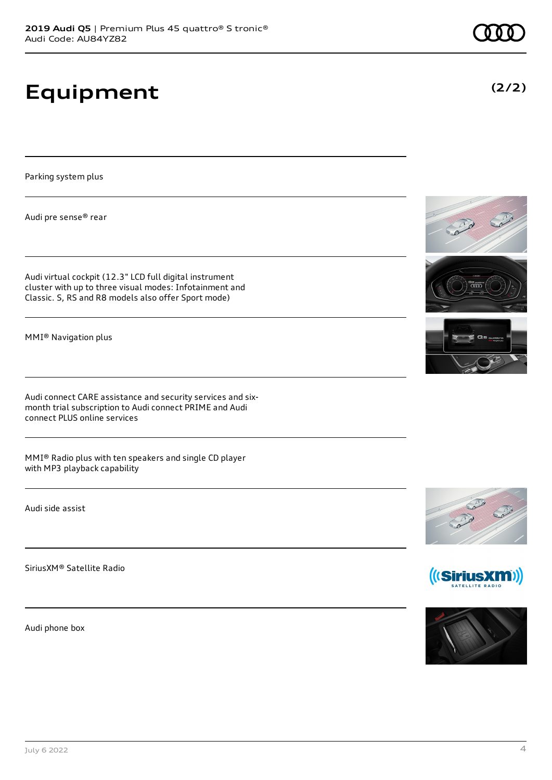# **Equipment**

Parking system plus

Audi pre sense® rear

Audi virtual cockpit (12.3" LCD full digital instrument cluster with up to three visual modes: Infotainment and Classic. S, RS and R8 models also offer Sport mode)

MMI® Navigation plus

Audi connect CARE assistance and security services and sixmonth trial subscription to Audi connect PRIME and Audi connect PLUS online services

MMI® Radio plus with ten speakers and single CD player with MP3 playback capability

Audi side assist

SiriusXM® Satellite Radio

Audi phone box













**(2/2)**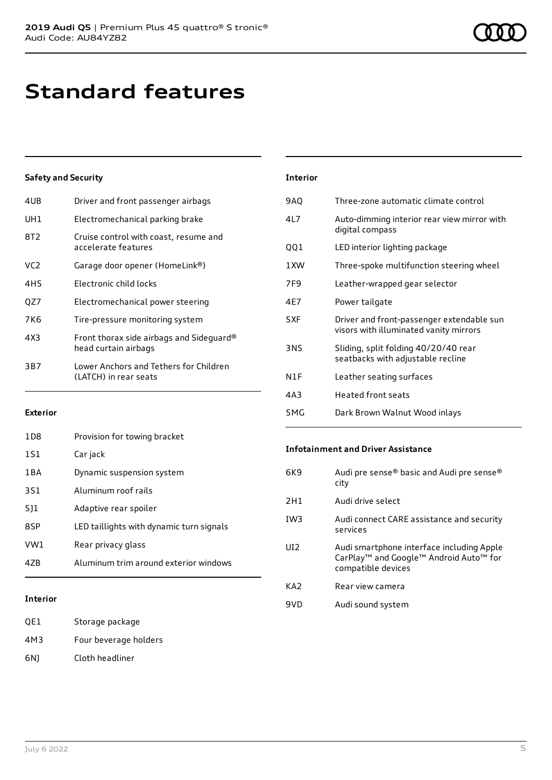## **Standard features**

### **Safety and Security**

| 4UB             | Driver and front passenger airbags                               |
|-----------------|------------------------------------------------------------------|
| UH1             | Electromechanical parking brake                                  |
| 8T2             | Cruise control with coast, resume and<br>accelerate features     |
| VC <sub>2</sub> | Garage door opener (HomeLink®)                                   |
| 4H5             | Electronic child locks                                           |
| OZ7             | Electromechanical power steering                                 |
| 7K6             | Tire-pressure monitoring system                                  |
| 4X3             | Front thorax side airbags and Sideguard®<br>head curtain airbags |
| 3B7             | Lower Anchors and Tethers for Children<br>(LATCH) in rear seats  |
|                 |                                                                  |

| <b>Interior</b>  |                                                                                     |
|------------------|-------------------------------------------------------------------------------------|
| 9AQ              | Three-zone automatic climate control                                                |
| 41 7             | Auto-dimming interior rear view mirror with<br>digital compass                      |
| QQ1              | LED interior lighting package                                                       |
| 1 XW             | Three-spoke multifunction steering wheel                                            |
| 7F <sub>9</sub>  | Leather-wrapped gear selector                                                       |
| 4F7              | Power tailgate                                                                      |
| 5XF              | Driver and front-passenger extendable sun<br>visors with illuminated vanity mirrors |
| 3NS              | Sliding, split folding 40/20/40 rear<br>seatbacks with adjustable recline           |
| N <sub>1</sub> F | Leather seating surfaces                                                            |
| 4A3              | Heated front seats                                                                  |
| 5MG              | Dark Brown Walnut Wood inlays                                                       |

### **Exterior**

| 1D <sub>8</sub> | Provision for towing bracket             |
|-----------------|------------------------------------------|
| 151             | Car jack                                 |
| 1 B A           | Dynamic suspension system                |
| 3S1             | Aluminum roof rails                      |
| 511             | Adaptive rear spoiler                    |
| 8SP             | LED taillights with dynamic turn signals |
| VW1             | Rear privacy glass                       |
| 47B             | Aluminum trim around exterior windows    |
|                 |                                          |

### **Infotainment and Driver Assistance**

| 6K9             | Audi pre sense® basic and Audi pre sense®<br>city                                                                     |
|-----------------|-----------------------------------------------------------------------------------------------------------------------|
| 2H1             | Audi drive select                                                                                                     |
| IW <sub>3</sub> | Audi connect CARE assistance and security<br>services                                                                 |
| UI <sub>2</sub> | Audi smartphone interface including Apple<br>CarPlay <sup>™</sup> and Google™ Android Auto™ for<br>compatible devices |
| KA <sub>2</sub> | Rear view camera                                                                                                      |
| 9VD             | Audi sound system                                                                                                     |

### **Interior**

| OE1 | Storage package       |
|-----|-----------------------|
| 4M3 | Four beverage holders |
| 6N1 | Cloth headliner       |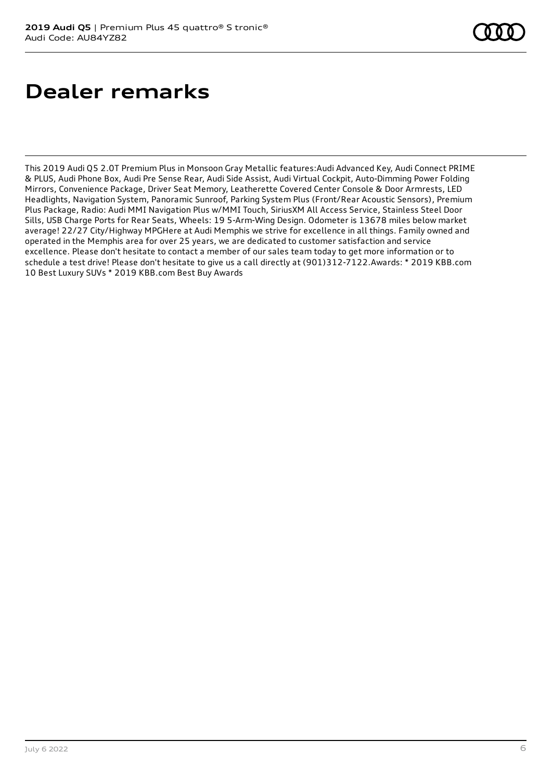# **Dealer remarks**

This 2019 Audi Q5 2.0T Premium Plus in Monsoon Gray Metallic features:Audi Advanced Key, Audi Connect PRIME & PLUS, Audi Phone Box, Audi Pre Sense Rear, Audi Side Assist, Audi Virtual Cockpit, Auto-Dimming Power Folding Mirrors, Convenience Package, Driver Seat Memory, Leatherette Covered Center Console & Door Armrests, LED Headlights, Navigation System, Panoramic Sunroof, Parking System Plus (Front/Rear Acoustic Sensors), Premium Plus Package, Radio: Audi MMI Navigation Plus w/MMI Touch, SiriusXM All Access Service, Stainless Steel Door Sills, USB Charge Ports for Rear Seats, Wheels: 19 5-Arm-Wing Design. Odometer is 13678 miles below market average! 22/27 City/Highway MPGHere at Audi Memphis we strive for excellence in all things. Family owned and operated in the Memphis area for over 25 years, we are dedicated to customer satisfaction and service excellence. Please don't hesitate to contact a member of our sales team today to get more information or to schedule a test drive! Please don't hesitate to give us a call directly at (901)312-7122.Awards: \* 2019 KBB.com 10 Best Luxury SUVs \* 2019 KBB.com Best Buy Awards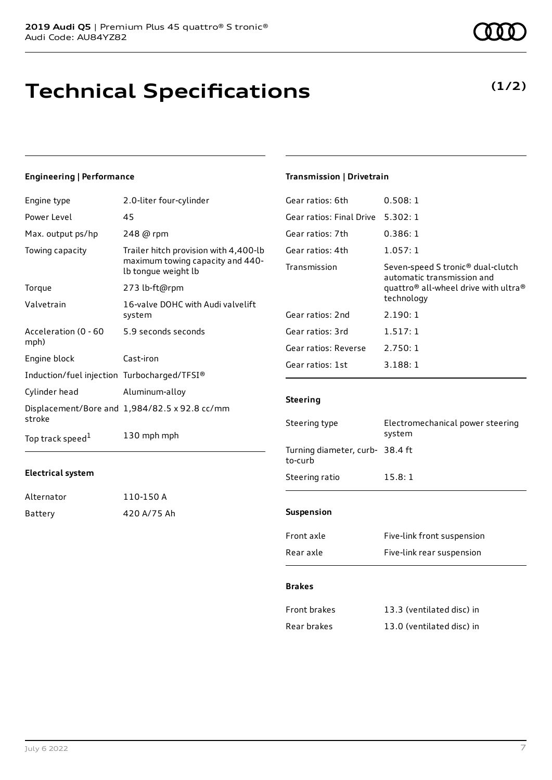### **Technical Specifications**

### **Engineering | Performance**

| Engine type                                 | 2.0-liter four-cylinder                                                                          |
|---------------------------------------------|--------------------------------------------------------------------------------------------------|
| Power Level                                 | 45                                                                                               |
| Max. output ps/hp                           | 248 @ rpm                                                                                        |
| Towing capacity                             | Trailer hitch provision with 4,400-lb<br>maximum towing capacity and 440-<br>lb tongue weight lb |
| Torque                                      | 273 lb-ft@rpm                                                                                    |
| Valvetrain                                  | 16-valve DOHC with Audi valvelift<br>system                                                      |
| Acceleration (0 - 60<br>mph)                | 5.9 seconds seconds                                                                              |
| Engine block                                | Cast-iron                                                                                        |
| Induction/fuel injection Turbocharged/TFSI® |                                                                                                  |
| Cylinder head                               | Aluminum-alloy                                                                                   |
| stroke                                      | Displacement/Bore and 1,984/82.5 x 92.8 cc/mm                                                    |
| Top track speed <sup>1</sup>                | 130 mph mph                                                                                      |

#### **Electrical system**

| Alternator | 110-150 A   |
|------------|-------------|
| Battery    | 420 A/75 Ah |

### **Transmission | Drivetrain**

| Gear ratios: 6th         | 0.508:1                                                                                                                                                   |
|--------------------------|-----------------------------------------------------------------------------------------------------------------------------------------------------------|
| Gear ratios: Final Drive | 5.302:1                                                                                                                                                   |
| Gear ratios: 7th         | 0.386:1                                                                                                                                                   |
| Gear ratios: 4th         | 1.057:1                                                                                                                                                   |
| Transmission             | Seven-speed S tronic <sup>®</sup> dual-clutch<br>automatic transmission and<br>quattro <sup>®</sup> all-wheel drive with ultra <sup>®</sup><br>technology |
| Gear ratios: 2nd         | 2.190:1                                                                                                                                                   |
| Gear ratios: 3rd         | 1.517:1                                                                                                                                                   |
| Gear ratios: Reverse     | 2.750:1                                                                                                                                                   |
| Gear ratios: 1st         | 3.188:1                                                                                                                                                   |
|                          |                                                                                                                                                           |

### **Steering**

| Steering type                              | Electromechanical power steering<br>system |
|--------------------------------------------|--------------------------------------------|
| Turning diameter, curb- 38.4 ft<br>to-curb |                                            |
| Steering ratio                             | 15.8:1                                     |
| <b>Suspension</b>                          |                                            |
| Front axle                                 | Five-link front suspension                 |

| Rear axle | Five-link rear suspension |
|-----------|---------------------------|
|           |                           |

### **Brakes**

| Front brakes | 13.3 (ventilated disc) in |
|--------------|---------------------------|
| Rear brakes  | 13.0 (ventilated disc) in |

### **(1/2)**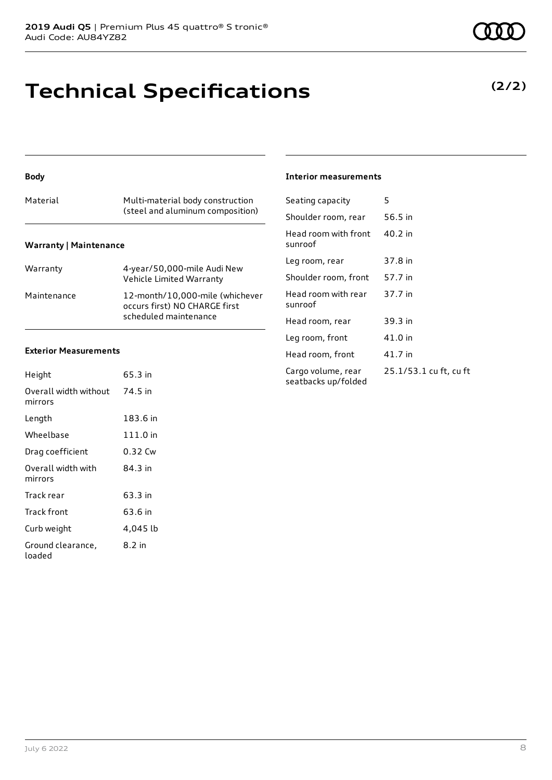### **Technical Specifications**

**Body**

### Material Multi-material body construction (steel and aluminum composition) **Warranty | Maintenance**

| Warranty    | 4-year/50,000-mile Audi New<br>Vehicle Limited Warranty                                   |
|-------------|-------------------------------------------------------------------------------------------|
| Maintenance | 12-month/10,000-mile (whichever<br>occurs first) NO CHARGE first<br>scheduled maintenance |

### **Exterior Measurements**

| Height                           | 65.3 in  |
|----------------------------------|----------|
| Overall width without<br>mirrors | 74.5 in  |
| Length                           | 183.6 in |
| Wheelbase                        | 111.0 in |
| Drag coefficient                 | 0.32 Cw  |
| Overall width with<br>mirrors    | 84.3 in  |
| Track rear                       | 63.3 in  |
| Track front                      | 63.6 in  |
| Curb weight                      | 4,045 lb |
| Ground clearance,<br>loaded      | 8.2 in   |

#### **Interior measurements**

| Seating capacity                          | 5                      |
|-------------------------------------------|------------------------|
| Shoulder room, rear                       | 56.5 in                |
| Head room with front<br>sunroof           | 40.2 in                |
| Leg room, rear                            | 37.8 in                |
| Shoulder room, front                      | 57.7 in                |
| Head room with rear<br>sunroof            | 37.7 in                |
| Head room, rear                           | 39.3 in                |
| Leg room, front                           | 41.0 in                |
| Head room, front                          | 41.7 in                |
| Cargo volume, rear<br>seatbacks up/folded | 25.1/53.1 cu ft, cu ft |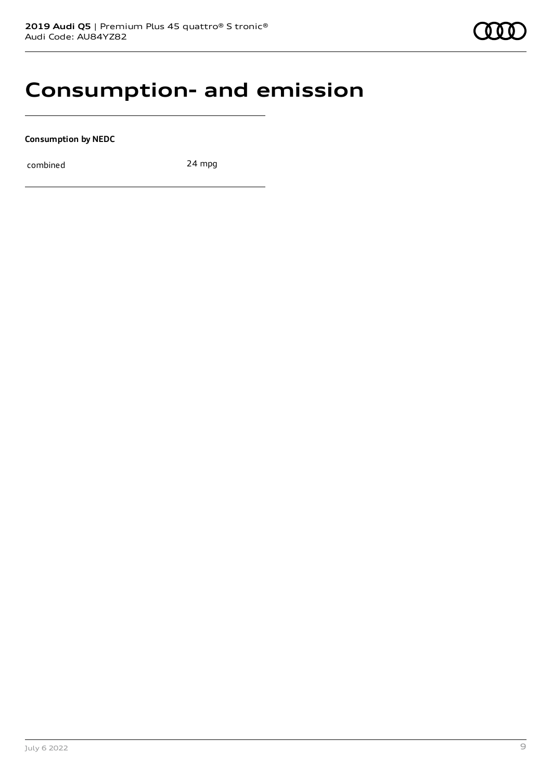### **Consumption- and emission**

**Consumption by NEDC**

combined 24 mpg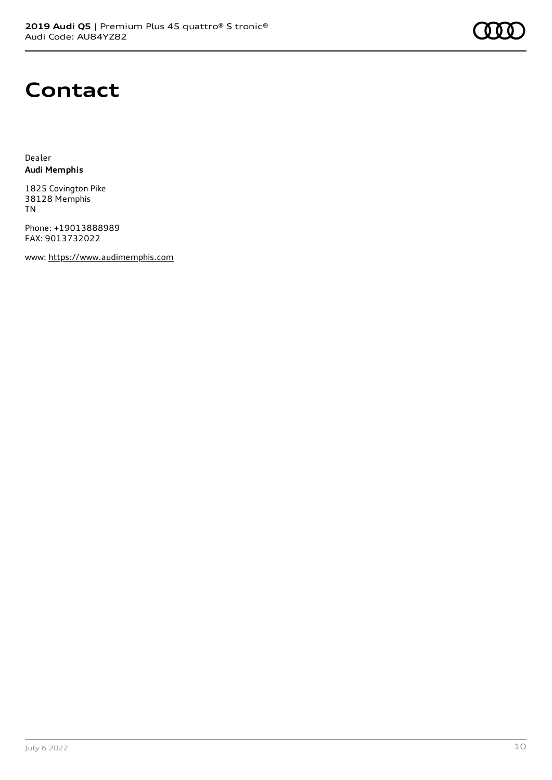### **Contact**

Dealer **Audi Memphis**

1825 Covington Pike 38128 Memphis TN

Phone: +19013888989 FAX: 9013732022

www: [https://www.audimemphis.com](https://www.audimemphis.com/)